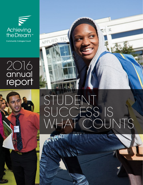W Achieving the Dream™

**Community Colleges Count** 

APPLIED TE

## 2O16 annual report



# STUDENT SUCCESS IS WHAT COUNTS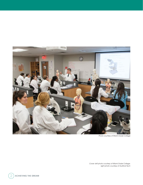

*Photo courtesy of Miami Dade College*

*Cover: left photo courtesy of Miami Dade College; right photo courtesy of Guilford Tech*

 $2$ ) achieving the dream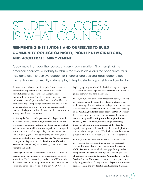## STUDENT SUCCESS IS WHAT COUNTS

### **REINVENTING INSTITUTIONS AND OURSELVES TO BUILD COMMUNITY COLLEGE CAPACITY, PIONEER NEW STRATEGIES, AND ACCELERATE IMPROVEMENT**

Today, more than ever, the success of every student matters. The strength of the American economy, our ability to rebuild the middle class, and the opportunity for a new generation to achieve academic, financial, and personal goals depend upon the central role community colleges play in helping students gain skills and credentials.

To meet these challenges, Achieving the Dream Network colleges have stepped forward to assume more visible, powerful leadership roles in the increasingly diverse communities they serve. They have become hubs for career and workforce development, valued partners of middle class families seeking to keep college affordable, and the heart of higher education for low-income and first-generation college students who hope to rise but often face barriers that threaten to keep their dreams beyond reach.

Achieving the Dream has helped network colleges thrive for more than a decade, but in 2016, we introduced a new way of looking at community colleges based on a framework that includes seven essential institutional capacities: teaching and learning, data and technology, policy and practice, student and faculty engagement and communication, strategy and planning, leadership and vision, and equity. We also launched a companion diagnostic tool, the **Institutional Capacity Assessment Tool (ICAT)**, to help colleges understand their strengths and needs.

Working with our colleges from the inside out, we invest in creating more responsive, data-informed, student-centered institutions. The 12 new colleges in the class of 2016 are the first to use the ICAT to jump into their ATD experience. We expect this pivot—or as we call it, the new ATD Way—to

begin laying the groundwork for holistic change in colleges so they can successfully pursue transformative initiatives like guided pathways and advising reform.

In fact, in 2016 two of our more mature initiatives, described in greater detail in the pages that follow, are adding to our understanding of what it takes for a college to advance student success across the entire institution. The experiences of colleges in the **Working Students Success Network (WSSN)**, which integrates a range of academic and non-academic supports, and the **Integrated Planning and Advising for Student Success (iPASS)** initiative, which leverages technology to transform advising and planning, suggest that deep data capacity, strong leadership, and integration of multiple efforts can propel the change process. We also have seen the essential power of what it means for colleges to be "student centered."

In 2016, we trained our focus on faculty, launching three new ventures that recognize their pivotal role in student success. The largest is the **Open Educational Resources (OER) Degree** initiative, which re-engages faculty in their disciplines and invigorates teaching while reducing the cost of textbooks for students. **Engaging Adjunct Faculty in the Student Success Movement** creates policies and practices to fully integrate adjunct faculty in their colleges' student success agenda. Finally, the first **Teaching and Learning National**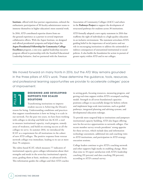**Institute**, offered with four partner organizations, enlisted the enthusiastic participation of 30 faculty-administrator teams to immerse themselves in higher education's most essential work.

In 2016, ATD contributed expertise drawn from onthe-ground experience as a partner in several important collaborative efforts. With the Aspen Institute, we designed and offered presidential symposia and helped shape the **Aspen Presidential Fellowship for Community College Excellence** program, a one-year, applied leadership executive program offered in partnership with the Stanford Educational Leadership Initiative. And we partnered with the American

Association of Community Colleges (AACC) and others in the **Pathways Project** to support the development of structured pathways for students across 30 institutions.

ATD formally adopted a new equity statement in 2016 that reaffirms the right of individuals to a high-quality education in an inclusive environment. The statement articulates ATD's guiding belief in the importance of social justice and our role in encouraging institutions to address the unintended or indirect consequences of unexamined institutional or social policies. It also builds the foundation for action in pursuit of greater equity within ATD and in our colleges.

We moved forward on many fronts in 2016, but the ATD Way remains grounded in the three pillars of ATD's work. These determine the guidance, tools, resources, and professional learning opportunities we provide to accelerate colleges' pace of improvement.

| ≃ |  |
|---|--|
| ⋖ |  |
|   |  |
| г |  |
|   |  |

#### **DESIGNING AND DEVELOPING SUPPORTS FOR SCALED SOLUTIONS**

Transforming institutions to improve student success is Achieving the Dream's reason for being. Understanding conditions and practices that support transformation is how we bring it to scale in our network. For the past two years, we have been working with colleges to develop and field test the ICAT, a tool to measure institutional capacity, track progress, remedy areas of weakness, and build on existing success at all the colleges we serve. In summer 2016, we introduced the ICAT as a requirement for all institutions in the cohort of new ATD colleges. The positive response from veteran network colleges was immediate, leading to its use at more than 70 campuses.

The rubric-based ICAT, which measures 77 indicators of institutional capacity, gives colleges information about their strengths and needs in the seven key institutional capacity areas, grading them at basic, moderate, or advanced levels. This information guides the colleges and their ATD coaches in setting goals, focusing resources, measuring progress, and getting real-time support within ATD's revamped coaching model. Strength in all seven foundational capacities positions colleges to successfully design for holistic reform and implement large-scale interventions, such as guided pathways, integrated planning and advising systems, and developmental education redesign.

To provide more targeted help to institutions and jumpstart institutional capacity building, ATD also began offering new fee-for-service opportunities to network colleges. Our recent member survey reveals presidents' strong appetite for these services, which include data and information technology assessment, additional site and coaching visits to ATD institutions, and participation in ATD strategy execution sessions.

College leaders continue to give ATD's coaching network and other supports high marks in enabling change. More than nine in 10 report satisfaction with ATD's leadership coaching (93 percent) and data coaching (90 percent), according to ATD's annual survey.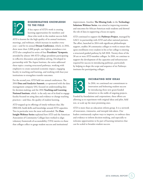

#### **DISSEMINATING KNOWLEDGE TO THE FIELD**

A key aspect of ATD's work is creating learning opportunities for members and those who work in the student success field.

ATD is known for the high quality of its annual institutes, meetings, and webinars, which increase in number every year—and for its annual **Dream Conference**, which, in 2016, drew more than 2,000 people, our highest attendance ever. ATD also completed its series of four **Presidents' Symposia**, attended by almost 100 ATD college presidents participating in reflective discussion and problem solving. Developed in partnership with The Aspen Institute, the series addressed these topics: creating structured pathways, working with employers to create sustained economic impact, engaging faculty in teaching and learning, and working with four-year institutions to strengthen transfer outcomes.

For the second year, ATD held two annual conferences. The 2016 **Data and Analytics Summit**, co-sponsored with the data management company SAS, focused on understanding data for decision-making; and the 2016 **Teaching and Learning National Institute**, which is the only one of its kind to engage faculty focused on using data and evidence to change teaching practices—and thus, the quality of student learning.

ATD stepped up its offerings of timely webinars that, like DREAM, build skills and knowledge around ATD capacities. Two in particular were the most well-attended. The **Data Insight Webinar Series** explained how ATD and the American Association of Community Colleges have worked to align voluntary framework of accountability (VFA) metrics to those that colleges collect to gauge student success and institutional

improvement. Another, **The Missing Link**, in the **Technology Solutions Webinar Series**, was aimed at improving retention and outcomes for African-American male students and showed the role of data in supporting a focus on equity.

ATD continued to support the **Pathways Project**, managed by AACC in partnership with ATD and other national partners. The effort, launched in 2014 with significant philanthropic support, enables 30 community colleges to work to ensure that upon enrollment every student in his or her college is entering a structured guided pathway by fall 2018. Twenty-three of the 30 are or were ATD-member colleges. In 2016, we continue to support the development of the capacities and infrastructure required for success in introducing pathways, particularly by helping to shape the scope and sequence of six Pathways institutes for participating colleges.



#### **INCUBATING NEW IDEAS**

In 2016, we continued our commitment to innovation and bolstering student success by introducing three new grant-funded initiatives to the stable of ongoing projects.

Funded by foundations and corporations, these efforts are allowing us to experiment with original ideas and pilot, field test, or scale up the most promising ones.

ATD is more than an education reform group. It is a network of innovators, visionaries, and intrepid risk-takers. Our leaders continuously explore ways to improve, to embrace data and evidence to inform decision-making, and especially to welcome opportunities to be part of learning initiatives that can be scaled to broaden student success.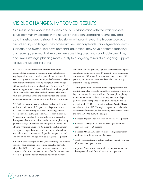## VISIBLE CHANGES, IMPROVED RESULTS

As a result of our work in these areas and our collaboration with the institutions we serve, community colleges in the network have been upgrading technology and data infrastructures to streamline decision-making and reveal the hidden sources of crucial equity challenges. They have nurtured visionary leadership, aligned academic supports, and overhauled developmental education. They have bolstered teaching and learning, ensured that improvements are integrated and sustainable over time, and linked strategic planning more closely to budgeting to maintain ongoing support for student success initiatives.

ATD college leaders say these actions have been possible because of their exposure to innovative ideas and solutions, ongoing coaching and counsel, opportunities to measure their own capacity against national norms, and effective ways to learn from institutions that are breaking new ground with collegewide approaches like structured pathways. Being part of ATD has meant opportunities to work collaboratively with top-level administrators like themselves to think through what works, what doesn't work and why, and collectively tap into outside resources that support innovation and student success at scale.

ATD's 2016 survey of network colleges sheds more light on our impact. Virtually all (95 percent) college leaders in the ATD network report they have made improving student success outcomes a strategic priority. More than nine in 10 (93 percent) report that their institutions are undertaking developmental education reform, and most are implementing guided pathways (70 percent) and integrated planning and advising systems and supports (63 percent). Sizable numbers also report being early adopters of emerging trends such as open educational resources and digital learning (43 percent) and low- or no-cost "college promise" programs (27 percent).

A majority of our colleges' leaders (59 percent) say that student outcomes have improved since joining the ATD network. Virtually all (91 percent) report increased data use on their campuses. Most also have seen an intensified focus on student success (86 percent), new or improved policies to support

student success (64 percent), a greater commitment to equity and closing achievement gaps (60 percent), more courageous conversations (58 percent), broader faculty engagement (56 percent), and increased resources devoted to supporting student success (53 percent).

The real proof of our endeavor lies in the progress that our institutions make. Typically our colleges continue to improve key outcomes as they work with us. For example, applying ATD approaches at William H. Rainey Harper College (IL) over a four-year period led to dramatic results and its recognition by ATD as its prestigious **Leah Austin Meyer**  award winner for 2016. Through college-wide collaboration, culture transformation, and community engagement, during the period 2010 to 2014, the college:

- increased its graduation rate from 14 percent to 24 percent;
- increased the Hispanic/Latino students' graduation rate from 11 percent to 25 percent;
- increased African-American students' college-readiness in math rate from 15 percent to 58 percent;
- raised Hispanic students' college-readiness in math rate from 36 percent to 62 percent; and
- improved African-American students' completion rate for developmental math from 10 percent to 21 percent.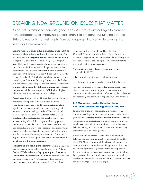## BREAKING NEW GROUND ON ISSUES THAT MATTER

As part of its mission to incubate good ideas, ATD works with colleges to pioneer new approaches for improving success. Thanks to our generous funding partners, 2016 allowed us to harvest insight from our ongoing initiatives while planting the seeds for three new ones.

Expanding use of open educational resources (OER) to reduce costs and improve teaching and learning. The \$9.8 million **OER Degree Initiative** involves 38 community colleges (in 13 states) that are developing degree programs using high-quality open educational resources to reduce the cost of textbooks, improve course design, increase teacher collaboration, and help students learn in the ways that they learn best. With funding from the William and Flora Hewlett Foundation, the Bill & Melinda Gates Foundation, the Great Lakes Higher Education Guaranty Corporation, the Shelter Hill Foundation, and the Speedwell Foundation, the initiative is intended to increase the likelihood of degree and certificate completion and the rapid adoption of OER within higher education, beginning with community colleges.

Creating pathways to local industries. A new 16-month workforce development initiative funded by Alcoa Foundation is designed to build a manufacturing talent pipeline in three communities by brokering stronger ties between community colleges in the ATD network and local manufacturing employers. **Pathways for Careers in Advanced Manufacturing** allows ATD to deepen its understanding of the skills colleges need to engage key community stakeholders such as employers in efforts that help more students achieve their academic and employment goals. The colleges will conduct outreach to local workforce boards, community-based organizations, and faith-based organizations to attract a pool of students and workers and match them with training programs.

Strengthening teaching and learning. With a majority of courses in community colleges taught by part-time/adjunct faculty, ATD launched the **Engaging Adjunct Faculty in the Student Success Movement** initiative last year to involve part-time faculty at six ATD-member colleges as active contributors to their colleges' reform efforts. The initiativesupported by The Leona M. and Harry B. Helmsley Charitable Trust and the Great Lakes Higher Education Guaranty Corporation—recognizes that adjunct faculty with close connections to their colleges can be more valuable to their students if they have access to:

- information about college programs and resources, especially in STEM;
- data on student performance and progress; and
- the informal knowledge developed by full-time faculty.

Through the initiative we hope to learn more about policy changes that could lead to improved orientation; stronger communication channels, sharing of resources, data collection and reporting; and common hiring and evaluation processes.

#### **In 2016, already established national initiatives have made significant progress.**

Supporting students' nonacademic needs. Nineteen community colleges in four states are involved in the threeyear national **Working Students Success Network (WSSN)**. The initiative connects students to career pathways and jobs, provides courses and coaching on financial planning, and helps students gain access to public services to put working students on solid financial ground.

Aimed not only to raise our completion rates but also to help students and their families become part of the middle class, WSSN goes beyond traditional academic supports. It assists students in setting short- and long-term goals en route to completing their college careers as the first step toward financial stability. Students receive coordinated services from faculty—as well as from academic, career, and financial coaches and counselors—to ensure continual progress and the ability to manage academic challenges.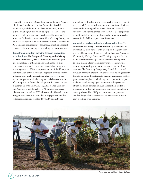Funded by the Annie E. Casey Foundation, Bank of America Charitable Foundation, Lumina Foundation, MetLife Foundation, and the W. K. Kellogg Foundation, WSSN is demonstrating ways in which colleges can deliver—and bundle—high- and low-touch services to eliminate barriers to success for low-income students. One of the big findings so far is that colleges that have built strong capacities fostered by ATD in areas like leadership, data management, and studentcentered culture are among those making the most progress.

Strengthening student advising through innovations in technology. The **Integrated Planning and Advising for Student Success (iPASS)** initiative, in its second year, uses technology to enhance and streamline the student experience of academic, career and financial advising, and planning services. Effective implementation of iPASS requires transformation of the institution's approach to these services, including structural organizational changes, process and policy changes, attitudinal changes of stakeholders, and lots of training and professional development. In the second year, in partnership with EDUCAUSE, ATD created a Rollout and Adoption Guide for college iPASS project managers, advisors, and counselors. ATD also created a 12-week course using online videos, discussion board engagement, and live collaboration sessions facilitated by ATD and delivered

through our online learning platform, ATD Connect. Later in the year, ATD created a three-month, semi-self-paced, virtual series on the advising reform aspect of iPASS. The tools, resources, and lessons learned from the iPASS project provide a vital foundation for the implementation of support services needed in the field to respond to this demand.

A model for resilience has broader applications. The **Northeast Resiliency Consortium (NRC)** is wrapping up work that has been funded with a \$23.5 million grant from the U.S. Department of Labor's Trade Adjustment Assistance Community College Career and Training program. Led by ATD, community colleges in four states banded together to build a more adaptive, resilient workforce in industries central to preventing, responding to, and recovering from disasters. The Resiliency Competency Model that resulted, however, has much broader application, from helping students learn to persist in their studies to enabling community college partners and employers to build regional capacity for helping trade-impacted, unemployed persons (including veterans) obtain the skills, competencies, and credentials needed to transition to in-demand occupations and to advance along a career pathway. The NRC provides student support services and has designed an assessment to help returning students earn credit for prior learning.



*Photo courtesy of Miami Dade College*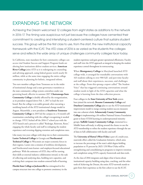## EXPANDING THE NETWORK

Achieving the Dream welcomed 12 colleges from eight states as additions to the network in 2016-17. The timing was auspicious not just because the colleges have cemented their commitment to creating and intensifying a student-centered culture that sustains student success. This group will be the first class to use, from the start, the new institutional capacity framework with the ICAT. The ATD class of 2016 is as varied as the students the colleges serve and reflects the wide array of unique challenges community colleges face today.

In California, state mandates for how community colleges can access vital Student Success and Support Program funds are altering how institutions deliver student services. **American River College** joins ATD as it is redesigning its counseling and advising approach, using federal grants worth nearly \$4 million, while at the same time engaging the entire college community in planning for holistic, integrated reform.

Two new member colleges from Tennessee are in the midst of institutional change and a state governance transition as the state community college system centralizes under one governing board, effective in summer 2017. **Chattanooga State Community College** is doubly affected by the reorganization, as its president stepped down Feb. 1, 2017 to lead the new board. But the college is on stable ground, after executing a weeklong launch of the ATD institutional change model in August. Meanwhile, a new president at **Southwest Tennessee Community College** in 2015 led the campus in a 14-month selfexamination concluding with the college's recognizing it needed to change. STCC kicked off the 2016-17 school year with the ATD launch and a process it called "Redesign, Reinvent, Reset," engaging the whole faculty and staff in reshaping the student experience and reversing slipping retention and completion rates.

Like many two-year colleges with deep ties to their communities, **Lanier Technical College** in Georgia and **Northcentral Technical College** in Wisconsin are major economic forces in their regions. Lanier cites a mission of workforce development, and Northcentral touts learner- and employer-focused educational pathways. With the assistance of ATD, they will be turning their skills at external industry collaboration inward, to the task of collecting and analyzing data, building new capacities, and evolving their campuses into student-centered halls of learning.

**Florida State College at Jacksonville** has reimagined its five campus structure into one college to promote consistency in the

student experience and gain greater operational efficiencies. Faculty and staff view the ATD approach as integral to keeping the student experience central throughout its restructuring.

When **Montgomery College** in Maryland launched ATD college-wide, it arranged for roundtable conversations with 163 students talking to over 900 full- and part-time faculty and staff about their experiences, successes, and challenges at the college. From this sprung a report called "The Student Voice" that has triggered continuing conversations around student needs in light of the ATD capacities and what the college is learning from the data collection process.

Four colleges in the **State University of New York** system have joined the network: **Broome Community College** and **Dutchess Community College** plan to use the ATD institutional improvement model to merge existing student success measures into one coherent whole. **Schenectady County Community College** is implementing a \$4-million National Science Foundation grant to foster STEM learning in underrepresented minority groups. **Suffolk County Community College**, immersed in a Middle States self-study, is rallying around the chance to use the ATD membership to refine the student experience through the use of data in full collaboration with faculty and staff.

The **University of Hawai'i-West O'ahu** is part of a multi-year, statewide effort called the Graduation Initiative, which aims to increase the percentage of the state's adult degree-holding population to 55 percent by 2025. UH-West O'ahu will be strengthening and consolidating its programs to improve retention and completion using ATD's capacity framework and data tools.

As the class of 2016 integrates and aligns what it learns about institutional capacity building using data, coaching, and the other tools of Achieving the Dream, the entire ATD network stands to gain from their experience as the first cohort to use the ICAT.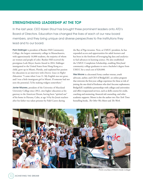#### STRENGTHENING LEADERSHIP AT THE TOP

In the last year, CEO Karen Stout has brought three prominent leaders onto ATD's Board of Directors. Education has changed the lives of each of our new board members, and they bring unique and diverse perspectives to the institutions they lead and to our board.

Pam Eddinger is president of Bunker Hill Community College, the largest community college in Massachusetts, with approximately 14,000 students, the majority of whom are women and people of color. Bunker Hill received the prestigious Leah Meyer Austin Award in 2014. Eddinger immigrated to the United States from Hong Kong as a child, grew up in Miami, Florida, and explained her passion for education in an interview with *Diverse: Issues in Higher Education*: "I came when I was 11. My English was not great, and I was a little immigrant girl in Miami. If someone had not seen the potential, I'd be making widgets somewhere."

Javier Miyares, president of the University of Maryland University College since 2012, cites higher education as his gateway to the American Dream, having been "spirited out" of his home in Havana, Cuba, at age 14 by his Jesuit teachers after his father was taken prisoner by Fidel Castro during

the Bay of Pigs invasion. Now, as UMUC president, he has expanded access and opportunities for adult learners and has been in the forefront of leveraging big data and analytics to fuel advances in learning science. He also established the UMUC Completion Scholarship, enabling Maryland community college graduates to earn a bachelor's degree from UMUC for a total cost of \$20,000.

Wes Moore is a decorated Army combat veteran, youth advocate, author, and CEO of BridgeEdU, an online program that reinvents the first-year college experience for those at risk of joining the one-third of freshmen who don't become sophomores. BridgeEdU establishes partnerships with colleges and universities and offers wraparound services, such as skills courses for credit, coaching and mentoring, financial aid counseling, and other academic supports. Moore is also the author two *New York Times*  bestselling books, *The Other Wes Moore* and *The Work*.



*Photo courtesy of Miami Dade College*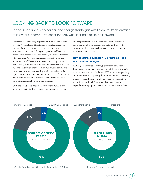## LOOKING BACK TO LOOK FORWARD

This has been a year of expansion and change that began with Karen Stout's observation at last year's Dream Conferences that ATD was "looking back to look forward."

We looked back to identify major lessons from our first decade of work. We have learned that to improve student success on a substantial scale, community colleges need to engage in bold, holistic institutional change that goes beyond boutique interventions, addresses problems at scale, and serves all students who need help. We've also learned, as a result of our funded initiatives, that ATD (along with its member colleges) must work broadly to address the academic and nonacademic needs of students. And it must address faculty, student, and community engagement; teaching and learning; equity; and other crucial capacity areas that are essential to achieving results. These lessons, drawn from research on our efforts and our experience, have guided the redesign of our institutional model.

With the broad-scale implementation of the ICAT, a new focus on capacity building across seven areas of performance, and large-scale innovation initiatives, we are learning more about our member institutions and helping them work broadly and deeply across all areas of their operations to improve student success.

#### **New resources support ATD programs—and our member colleges**

ATD's grant revenues grew by 35 percent in fiscal year 2016. Representing more than three-quarters of the organization's total revenue, this growth allowed ATD to increase spending on program services by nearly \$5.8 million without increasing overall revenues from its members. To support innovation across its network, ATD spent nearly 85 percent of all expenditures on program services, as the charts below show.

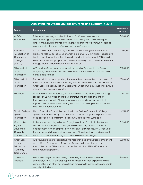| Achieving the Dream Sources of Grants and Support FY 2016                   |                                                                                                                                                                                                                                                                                                                                                                                  |                              |  |
|-----------------------------------------------------------------------------|----------------------------------------------------------------------------------------------------------------------------------------------------------------------------------------------------------------------------------------------------------------------------------------------------------------------------------------------------------------------------------|------------------------------|--|
| <b>Source</b>                                                               | <b>Description</b>                                                                                                                                                                                                                                                                                                                                                               | <b>Revenue in</b><br>FY 2016 |  |
| <b>ALCOA</b><br>Foundation                                                  | This funded learning initiative, Pathways for Careers in Advanced<br>Manufacturing, supports the efforts of three colleges in Ohio, Michigan,<br>and Pennsylvania as they seek to improve alignment of community college<br>programs with the needs of advanced manufacturers.                                                                                                   | \$490,000                    |  |
| American<br>Association of<br>Community<br>Colleges<br>(AACC)               | ATD is one of eight national organizations collaborating on the Pathways<br>Project to help 30 colleges, 21 of which are active ATD institutions, design and<br>implement clear, coherent pathways to credential attainment; ATD president<br>Karen Stout is a thought partner and helps to design and present institutes for<br>college teams under a subcontract with AACC.    | \$33,319                     |  |
| <b>Bill &amp; Melinda</b><br>Gates<br>Foundation                            | ATD provides fiscal agency services in support of Completion by Design's<br>storytelling component and the availability of this material to the field in a<br>consumable format.                                                                                                                                                                                                 | \$600,000                    |  |
| <b>Bill &amp; Melinda</b><br>Gates<br>Foundation                            | Two foundations are supporting the research and evaluation component of<br>the Open Educational Resources Degree initiative; the second foundation is<br>Great Lakes Higher Education Guaranty Foundation. SRI International is ATD's<br>research and evaluation partner.                                                                                                        | \$800,000                    |  |
| Educause                                                                    | In partnership with Educause, ATD supports iPASS, the redesign of advising<br>services at 26 two-year and four-year institutions, the deployment of<br>technology in support of the new approach to advising, and logistical<br>support of an evaluation assessing the impact of the approach on student<br>and institutional outcomes.                                          | \$449,872                    |  |
| <b>Florida College</b><br>System<br>Foundation                              | Helios Education Foundation funding to the Florida Community College<br>System was subsequently subcontracted to ATD to support the participation<br>of 15 college presidents from Florida in ATD's Presidents' Symposia.                                                                                                                                                        | \$75,000                     |  |
| <b>Great Lakes</b><br>Higher<br>Education<br>Guaranty<br>Corporation        | In this funded learning initiative, Engaging Adjunct Faculty in the Student<br>Success Movement, six ATD colleges are developing models for faculty<br>engagement with an emphasis on inclusion of adjunct faculty; Great Lakes<br>funding supports the participation of one of the six colleges and a project<br>evaluation. Helmsley funding supports the other five colleges. | \$696,000                    |  |
| <b>Great Lakes</b><br><b>Higher</b><br>Education<br>Guaranty<br>Corporation | Two foundations are supporting the research and evaluation component<br>of the Open Educational Resources Degree initiative; the second<br>foundation is the Bill & Melinda Gates Foundation. SRI is ATD's research<br>and evaluation partner.                                                                                                                                   | \$800,000                    |  |
| OneMain<br>Financial                                                        | Five ATD colleges are expanding or creating financial empowerment<br>strategies, with ATD's developing a toolkit based on their experiences and<br>aimed at helping other colleges design programs to increase the economic<br>security of students.                                                                                                                             | \$300,000                    |  |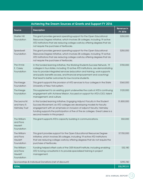| Achieving the Dream Sources of Grants and Support FY 2016 |                                                                                                                                                                                                                                                                                                                                                                               |                              |  |
|-----------------------------------------------------------|-------------------------------------------------------------------------------------------------------------------------------------------------------------------------------------------------------------------------------------------------------------------------------------------------------------------------------------------------------------------------------|------------------------------|--|
| <b>Source</b>                                             | <b>Description</b>                                                                                                                                                                                                                                                                                                                                                            | <b>Revenue in</b><br>FY 2016 |  |
| <b>Shelter Hill</b><br>Foundation                         | This grant provides general operating support for the Open Educational<br>Resources Degree initiative, which involves 38 colleges, including 19 active<br>ATD institutions that are reducing college costs by offering degrees that do<br>not require the purchase of textbooks.                                                                                              | \$250,000                    |  |
| Speedwell<br>Foundation                                   | This grant provides general operating support for the Open Educational<br>Resources Degree initiative, which involves 38 colleges, including 19 active<br>ATD institutions that are reducing college costs by offering degrees that do<br>not require the purchase of textbooks.                                                                                              | \$250,000                    |  |
| The Annie<br>E. Casey<br>Foundation                       | In this funded learning initiative, the Working Students Success Network, 19<br>colleges in four states, including 10 active ATD institutions, are demonstrating<br>how to provide integrated services (education and training, work supports<br>and public benefits access, and financial empowerment and coaching)<br>that lead to better outcomes for low-income students. | \$700,000                    |  |
| The Kresge<br>Foundation                                  | This grant supports the provision of ATD services to four colleges in the State<br>University of New York system.                                                                                                                                                                                                                                                             | \$360,000                    |  |
| The Kresge<br>Foundation                                  | This supplement to an existing grant underwrites the costs of ATD's continuing<br>engagement with Achieve Mission, focused on support for ATD's CEO, talent<br>management, and culture.                                                                                                                                                                                       | \$120,000                    |  |
| The Leona M.<br>and Harry R.<br><b>Helmsley Trust</b>     | In this funded learning initiative, Engaging Adjunct Faculty in the Student<br>Success Movement, six ATD colleges are developing models for faculty<br>engagement with an emphasis on inclusion of adjunct faculty; Helmsley<br>funding supports the participation of five of the six colleges. Great Lakes is a<br>second investor in this project.                          | \$1,800,000                  |  |
| The William<br>and Flora<br><b>Hewlett</b><br>Foundation  | This grant supports ATD's capacity building in communications.                                                                                                                                                                                                                                                                                                                | \$50,000                     |  |
| The William<br>and Flora<br><b>Hewlett</b><br>Foundation  | This grant provides support for the Open Educational Resources Degree<br>initiative, which involves 38 colleges, including 19 active ATD institutions<br>that are reducing college costs by offering degrees that do not require the<br>purchase of textbooks.                                                                                                                | \$7,700,000                  |  |
| The William<br>and Flora<br><b>Hewlett</b><br>Foundation  | Funding helped offset costs of the OER Kickoff Institute, including enabling<br>ATD to bring consultants in to provide specialized training in project<br>management.                                                                                                                                                                                                         | \$32,180                     |  |
| Sponsorships & Individual Donations (net of discount)     |                                                                                                                                                                                                                                                                                                                                                                               | \$290,740                    |  |
| <b>TOTAL</b>                                              |                                                                                                                                                                                                                                                                                                                                                                               | \$15,797,111                 |  |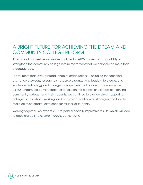## A BRIGHT FUTURE FOR ACHIEVING THE DREAM AND COMMUNITY COLLEGE REFORM

After one of our best years, we are confident in ATD's future and in our ability to strengthen the community college reform movement that we helped start more than a decade ago.

Today, more than ever, a broad range of organizations—including the technical assistance providers, researchers, resource organizations, leadership groups, and leaders in technology and change management that are our partners—as well as our funders, are coming together to take on the biggest challenges confronting community colleges and their students. We continue to provide direct support to colleges, study what is working, and apply what we know to strategies and tools to make an even greater difference for millions of students.

Working together, we expect 2017 to yield especially impressive results, which will lead to accelerated improvement across our network.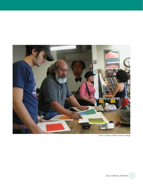

*Photo courtesy of Miami Dade College*